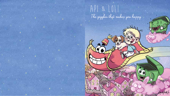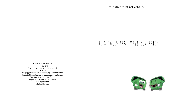## The giggles that make you happy

ISBN 978-2-9560653-2-6 First print 2017 Brussels - Belgium All rights reserved. Api & Loli® The giggles that make you happy by Martine Serrien, illustrated by Joel Schopfer, layout by Audrey Smeets Copyright © 2016 Martine Serrien English translation by Bizzimpulse www.api-loli.com info@api-loli.com

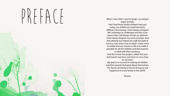## PREFACE

When I was child, I used to laugh, cry and get angry secretly. Had I had those media children have got today, my childhood could have been different. But anyway, I have always accepted life's hardships as challenges and this is the reason why I will always remain an optimist. I have always forgiven my worst enemies. And that attitude has helped me walk the path to success, ever since I was an adult. I have come to realize that my mission in life is to make it possible for all the children and their parents to deal with their emotions. And this is how this project, called "bin your bad mood", was born and why it is very close to my heart. My goal is to succeed in making all children and their parents feel good about themselves. The Api & Loli Family is here to bring joy and happiness to every family in the world.

Nouna.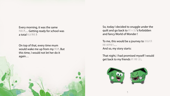Every morning, it was the same PROBLEM... Getting ready for school was a total NIGHTMARE!

On top of that, every time mum would wake me up from my NHAN. But this time, I would not let her do it again…

So, today I decided to snuggle under the quilt and go back to API & LOLI's forbidden and fancy World of Wonder !

To me, this would be a journey to  $\text{MUATE}$ and happiness… And so, my story starts:

That night, I had promised myself I would get back to my friends API AND LOLI.



8 9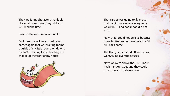They are funny characters that look like small green bins. They lallel and HAVE FUN all the time.

I wanted to know more about it !

So, I took the yellow and red flying carpet again that was waiting for me outside of my little room's window. It had a SMILE shining like a shooting STAR that lit up the front of my house.



 $10$ 

That carpet was going to fly me to that magic place where everybody was HAVING FUN and bad mood did not exist.

Now, that I could not believe because there is often someone who is in a  $\text{and}$ **MOO, back home.** 

The flying carpet lifted off and off we went, flying over the houses.

Now, we were above the CLOUDS. These had strange shapes and they could touch me and tickle my face.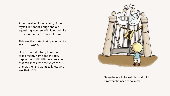After travelling for one hour, I found myself in front of a huge and old squeaking wooden PORTAL. It looked like those one can see in ancient books.

This was the portal that opened on to the FANTASY world.

He just started talking to me and asked me my name and my age. It gave me THE GOOSE BUMPS because a door that can speak with the voice of a grandfather and wants to know who I am, that is SCARY.



Nevertheless, I obeyed him and told him what he needed to know.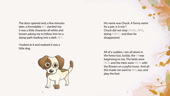The door opened and, a few minutes later, a formidable NISE startled me: it was a little character all white and brown asking me to follow him on a damp path leading into a dark  $f(x)$ .

I looked at it and realized it was a little dog.



His name was Chuck. A funny name for a pet, is it not ? Chuck did not stop LAUGHING, JUNPING, doing ACROBATICS and then he disappeared.

All of a sudden, I am all alone in the forest but, luckily, the  $SUN$  was beginning to rise. The birds were SINGING and the trees were DANCING with the flowers on a joyful music. And all this made me want to  $MSE$ , too, and play the fool.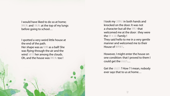I would have liked to do so at home; DANCING and SINGING at the top of my lungs before going to school…

I spotted a very weird little house at the end of the path. Her shape was as  $\text{RUNI}$  as a ball! She was flying through the air and the wind SWAYED her among the clouds. Oh, and the house was DANCING too!

I took my COURAGE in both hands and knocked on the door. It was not a character but all the FAMILY that welcomed me at the door : they were the API & LOLI Family ! They said hello to me in a very gentle manner and welcomed me to their House of HAPPINESS.

However, I might enter the house on one condition: that I proved to them I could get the GIGGLES...

Get the GIGGLES ? How ? I mean, nobody ever says that to us at home…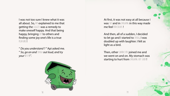I was not too sure I knew what it was all about. So, API explained to me that getting the GIGGLES was a remedy to make oneself happy. And that being happy, bringing  $J\mathbb{N}$  to others and finding some joy one's life is a true pifasure !

" *Do you understand* ? " Api asked me. " So, go on and LAUGH out loud, and try *your*  $\frac{1}{2}$  **!** *"*.

18 19

At first, it was not easy at all because I was SHY and in LAUGHING in this way made me feel **RIDICULOUS**!

And then, all of a sudden, I decided to let go and I started to LAUGH. I was doubled up with laughter. I felt as light as a bird.

Then, other CHARACTERS joined me and we went on and on. My stomach was starting to hurt from LAUGHING OUT LOUD !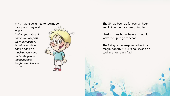API & LOLI were delighted to see me so happy and they said to me :

*" When you get back home, you will pass on what you have learnt here.* LAUGH on *and on and on as much as you want, and make people laugh because laughing makes you*  happy *! ".*



The SUN had been up for over an hour and I did not notice time going by.

I had to hurry home before NUN would wake me up to go to school.

The flying carpet reappeared as if by magic, right by API & LOLI's house, and he took me home in a flash…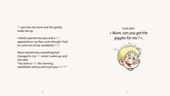$M$  got into my room and she gently woke me up.

I slowly opened my eyes and a SNILE appeared on my face, even though I had to come out of my wonderful NEAN.

Mum noticed also something had changed in my SMILE when I woke up, and she said: "*You look so* happy *this morning,*  **sweetheart; will you tell mum your**  $N$  **[AN ?"** 

I just said : « *Mum, can you get the giggles for me ?* ».